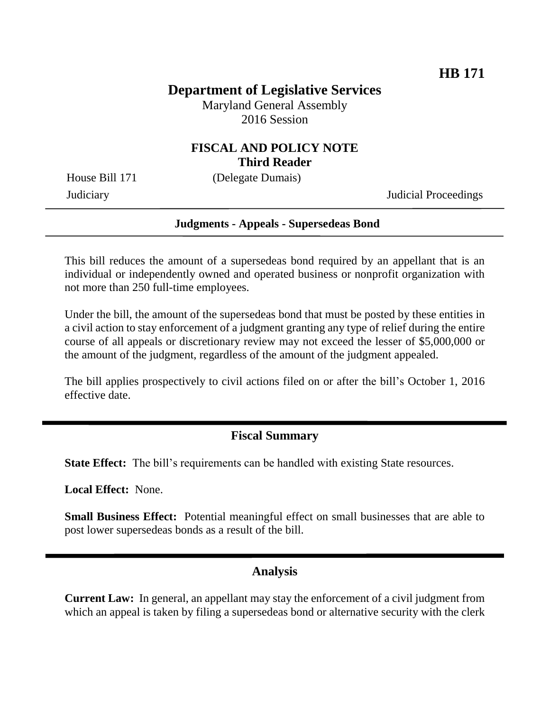# **Department of Legislative Services**

Maryland General Assembly 2016 Session

### **FISCAL AND POLICY NOTE Third Reader**

House Bill 171 (Delegate Dumais)

Judiciary Judicial Proceedings

#### **Judgments - Appeals - Supersedeas Bond**

This bill reduces the amount of a supersedeas bond required by an appellant that is an individual or independently owned and operated business or nonprofit organization with not more than 250 full-time employees.

Under the bill, the amount of the supersedeas bond that must be posted by these entities in a civil action to stay enforcement of a judgment granting any type of relief during the entire course of all appeals or discretionary review may not exceed the lesser of \$5,000,000 or the amount of the judgment, regardless of the amount of the judgment appealed.

The bill applies prospectively to civil actions filed on or after the bill's October 1, 2016 effective date.

### **Fiscal Summary**

**State Effect:** The bill's requirements can be handled with existing State resources.

**Local Effect:** None.

**Small Business Effect:** Potential meaningful effect on small businesses that are able to post lower supersedeas bonds as a result of the bill.

#### **Analysis**

**Current Law:** In general, an appellant may stay the enforcement of a civil judgment from which an appeal is taken by filing a supersedeas bond or alternative security with the clerk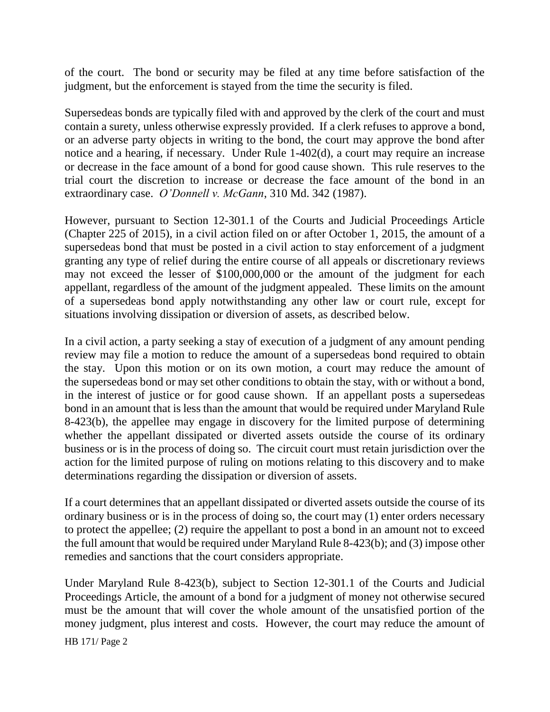of the court. The bond or security may be filed at any time before satisfaction of the judgment, but the enforcement is stayed from the time the security is filed.

Supersedeas bonds are typically filed with and approved by the clerk of the court and must contain a surety, unless otherwise expressly provided. If a clerk refuses to approve a bond, or an adverse party objects in writing to the bond, the court may approve the bond after notice and a hearing, if necessary. Under Rule 1-402(d), a court may require an increase or decrease in the face amount of a bond for good cause shown. This rule reserves to the trial court the discretion to increase or decrease the face amount of the bond in an extraordinary case. *O'Donnell v. McGann*, 310 Md. 342 (1987).

However, pursuant to Section 12-301.1 of the Courts and Judicial Proceedings Article (Chapter 225 of 2015), in a civil action filed on or after October 1, 2015, the amount of a supersedeas bond that must be posted in a civil action to stay enforcement of a judgment granting any type of relief during the entire course of all appeals or discretionary reviews may not exceed the lesser of \$100,000,000 or the amount of the judgment for each appellant, regardless of the amount of the judgment appealed. These limits on the amount of a supersedeas bond apply notwithstanding any other law or court rule, except for situations involving dissipation or diversion of assets, as described below.

In a civil action, a party seeking a stay of execution of a judgment of any amount pending review may file a motion to reduce the amount of a supersedeas bond required to obtain the stay. Upon this motion or on its own motion, a court may reduce the amount of the supersedeas bond or may set other conditions to obtain the stay, with or without a bond, in the interest of justice or for good cause shown. If an appellant posts a supersedeas bond in an amount that is less than the amount that would be required under Maryland Rule 8-423(b), the appellee may engage in discovery for the limited purpose of determining whether the appellant dissipated or diverted assets outside the course of its ordinary business or is in the process of doing so. The circuit court must retain jurisdiction over the action for the limited purpose of ruling on motions relating to this discovery and to make determinations regarding the dissipation or diversion of assets.

If a court determines that an appellant dissipated or diverted assets outside the course of its ordinary business or is in the process of doing so, the court may (1) enter orders necessary to protect the appellee; (2) require the appellant to post a bond in an amount not to exceed the full amount that would be required under Maryland Rule 8-423(b); and (3) impose other remedies and sanctions that the court considers appropriate.

Under Maryland Rule 8-423(b), subject to Section 12-301.1 of the Courts and Judicial Proceedings Article, the amount of a bond for a judgment of money not otherwise secured must be the amount that will cover the whole amount of the unsatisfied portion of the money judgment, plus interest and costs. However, the court may reduce the amount of

HB 171/ Page 2